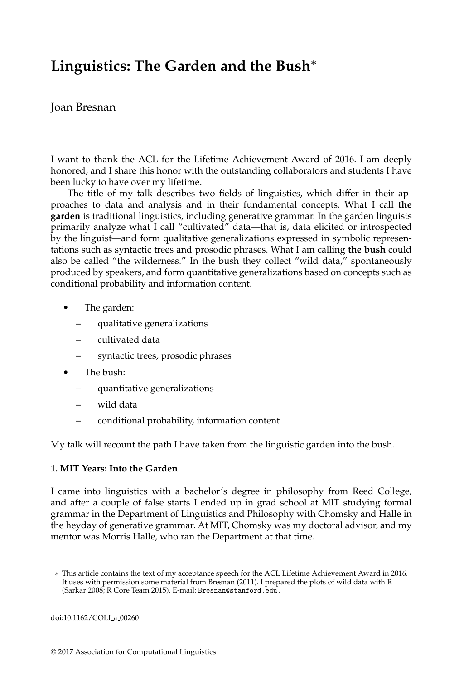# **Linguistics: The Garden and the Bush**<sup>∗</sup>

# Joan Bresnan

I want to thank the ACL for the Lifetime Achievement Award of 2016. I am deeply honored, and I share this honor with the outstanding collaborators and students I have been lucky to have over my lifetime.

The title of my talk describes two fields of linguistics, which differ in their approaches to data and analysis and in their fundamental concepts. What I call **the garden** is traditional linguistics, including generative grammar. In the garden linguists primarily analyze what I call "cultivated" data—that is, data elicited or introspected by the linguist—and form qualitative generalizations expressed in symbolic representations such as syntactic trees and prosodic phrases. What I am calling **the bush** could also be called "the wilderness." In the bush they collect "wild data," spontaneously produced by speakers, and form quantitative generalizations based on concepts such as conditional probability and information content.

- The garden:
	- **–** qualitative generalizations
	- **–** cultivated data
	- **–** syntactic trees, prosodic phrases
- The bush:
	- **–** quantitative generalizations
	- **–** wild data
	- **–** conditional probability, information content

My talk will recount the path I have taken from the linguistic garden into the bush.

## **1. MIT Years: Into the Garden**

I came into linguistics with a bachelor's degree in philosophy from Reed College, and after a couple of false starts I ended up in grad school at MIT studying formal grammar in the Department of Linguistics and Philosophy with Chomsky and Halle in the heyday of generative grammar. At MIT, Chomsky was my doctoral advisor, and my mentor was Morris Halle, who ran the Department at that time.

<sup>∗</sup> This article contains the text of my acceptance speech for the ACL Lifetime Achievement Award in 2016. It uses with permission some material from Bresnan (2011). I prepared the plots of wild data with R (Sarkar 2008; R Core Team 2015). E-mail: Bresnan@stanford.edu.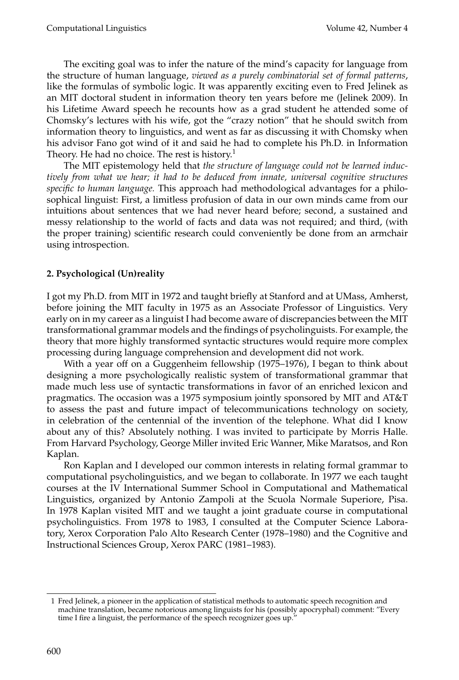The exciting goal was to infer the nature of the mind's capacity for language from the structure of human language, *viewed as a purely combinatorial set of formal patterns*, like the formulas of symbolic logic. It was apparently exciting even to Fred Jelinek as an MIT doctoral student in information theory ten years before me (Jelinek 2009). In his Lifetime Award speech he recounts how as a grad student he attended some of Chomsky's lectures with his wife, got the "crazy notion" that he should switch from information theory to linguistics, and went as far as discussing it with Chomsky when his advisor Fano got wind of it and said he had to complete his Ph.D. in Information Theory. He had no choice. The rest is history.<sup>1</sup>

The MIT epistemology held that *the structure of language could not be learned inductively from what we hear; it had to be deduced from innate, universal cognitive structures specific to human language.* This approach had methodological advantages for a philosophical linguist: First, a limitless profusion of data in our own minds came from our intuitions about sentences that we had never heard before; second, a sustained and messy relationship to the world of facts and data was not required; and third, (with the proper training) scientific research could conveniently be done from an armchair using introspection.

# **2. Psychological (Un)reality**

I got my Ph.D. from MIT in 1972 and taught briefly at Stanford and at UMass, Amherst, before joining the MIT faculty in 1975 as an Associate Professor of Linguistics. Very early on in my career as a linguist I had become aware of discrepancies between the MIT transformational grammar models and the findings of psycholinguists. For example, the theory that more highly transformed syntactic structures would require more complex processing during language comprehension and development did not work.

With a year off on a Guggenheim fellowship (1975–1976), I began to think about designing a more psychologically realistic system of transformational grammar that made much less use of syntactic transformations in favor of an enriched lexicon and pragmatics. The occasion was a 1975 symposium jointly sponsored by MIT and AT&T to assess the past and future impact of telecommunications technology on society, in celebration of the centennial of the invention of the telephone. What did I know about any of this? Absolutely nothing. I was invited to participate by Morris Halle. From Harvard Psychology, George Miller invited Eric Wanner, Mike Maratsos, and Ron Kaplan.

Ron Kaplan and I developed our common interests in relating formal grammar to computational psycholinguistics, and we began to collaborate. In 1977 we each taught courses at the IV International Summer School in Computational and Mathematical Linguistics, organized by Antonio Zampoli at the Scuola Normale Superiore, Pisa. In 1978 Kaplan visited MIT and we taught a joint graduate course in computational psycholinguistics. From 1978 to 1983, I consulted at the Computer Science Laboratory, Xerox Corporation Palo Alto Research Center (1978–1980) and the Cognitive and Instructional Sciences Group, Xerox PARC (1981–1983).

<sup>1</sup> Fred Jelinek, a pioneer in the application of statistical methods to automatic speech recognition and machine translation, became notorious among linguists for his (possibly apocryphal) comment: "Every time I fire a linguist, the performance of the speech recognizer goes up."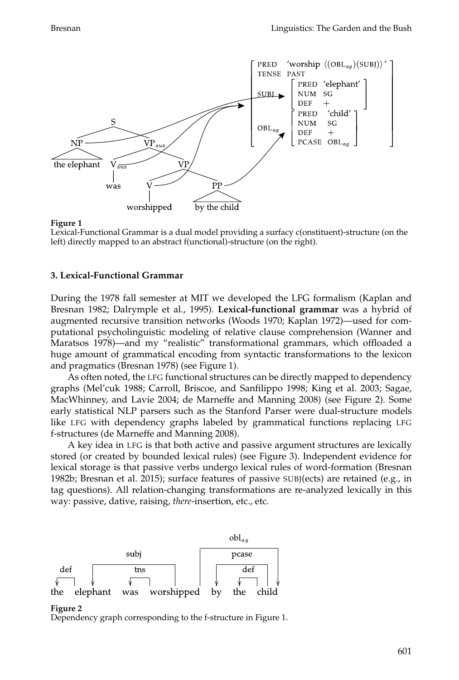

Lexical-Functional Grammar is a dual model providing a surfacy c(onstituent)-structure (on the left) directly mapped to an abstract f(unctional)-structure (on the right).

#### **3. Lexical-Functional Grammar**

During the 1978 fall semester at MIT we developed the LFG formalism (Kaplan and Bresnan 1982; Dalrymple et al., 1995). **Lexical-functional grammar** was a hybrid of augmented recursive transition networks (Woods 1970; Kaplan 1972)—used for computational psycholinguistic modeling of relative clause comprehension (Wanner and Maratsos 1978)—and my "realistic" transformational grammars, which offloaded a huge amount of grammatical encoding from syntactic transformations to the lexicon and pragmatics (Bresnan 1978) (see Figure 1).

As often noted, the LFG functional structures can be directly mapped to dependency graphs (Mel'cuk 1988; Carroll, Briscoe, and Sanfilippo 1998; King et al. 2003; Sagae, MacWhinney, and Lavie 2004; de Marneffe and Manning 2008) (see Figure 2). Some early statistical NLP parsers such as the Stanford Parser were dual-structure models like LFG with dependency graphs labeled by grammatical functions replacing LFG f-structures (de Marneffe and Manning 2008).

A key idea in LFG is that both active and passive argument structures are lexically stored (or created by bounded lexical rules) (see Figure 3). Independent evidence for lexical storage is that passive verbs undergo lexical rules of word-formation (Bresnan 1982b; Bresnan et al. 2015); surface features of passive SUBJ(ects) are retained (e.g., in tag questions). All relation-changing transformations are re-analyzed lexically in this way: passive, dative, raising, *there*-insertion, etc., etc.



#### **Figure 2**

Dependency graph corresponding to the f-structure in Figure 1.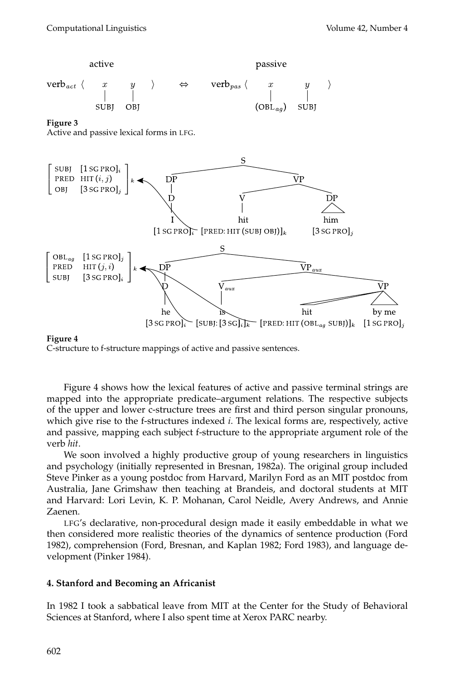

Active and passive lexical forms in LFG.



### **Figure 4**

C-structure to f-structure mappings of active and passive sentences.

Figure 4 shows how the lexical features of active and passive terminal strings are mapped into the appropriate predicate–argument relations. The respective subjects of the upper and lower c-structure trees are first and third person singular pronouns, which give rise to the f-structures indexed *i*. The lexical forms are, respectively, active and passive, mapping each subject f-structure to the appropriate argument role of the verb *hit*.

We soon involved a highly productive group of young researchers in linguistics and psychology (initially represented in Bresnan, 1982a). The original group included Steve Pinker as a young postdoc from Harvard, Marilyn Ford as an MIT postdoc from Australia, Jane Grimshaw then teaching at Brandeis, and doctoral students at MIT and Harvard: Lori Levin, K. P. Mohanan, Carol Neidle, Avery Andrews, and Annie Zaenen.

LFG's declarative, non-procedural design made it easily embeddable in what we then considered more realistic theories of the dynamics of sentence production (Ford 1982), comprehension (Ford, Bresnan, and Kaplan 1982; Ford 1983), and language development (Pinker 1984).

## **4. Stanford and Becoming an Africanist**

In 1982 I took a sabbatical leave from MIT at the Center for the Study of Behavioral Sciences at Stanford, where I also spent time at Xerox PARC nearby.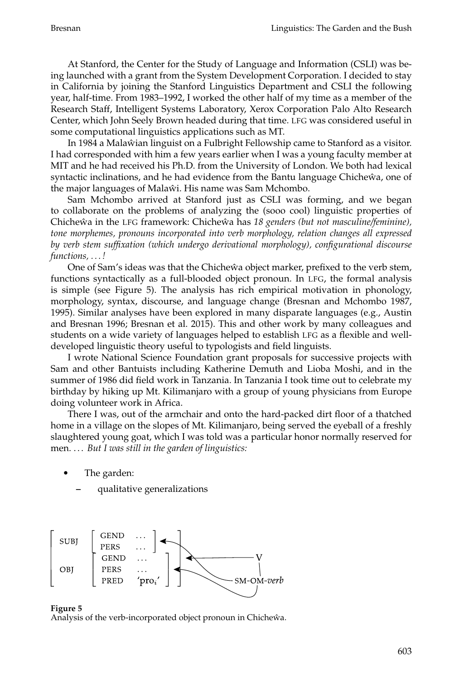At Stanford, the Center for the Study of Language and Information (CSLI) was being launched with a grant from the System Development Corporation. I decided to stay in California by joining the Stanford Linguistics Department and CSLI the following year, half-time. From 1983–1992, I worked the other half of my time as a member of the Research Staff, Intelligent Systems Laboratory, Xerox Corporation Palo Alto Research Center, which John Seely Brown headed during that time. LFG was considered useful in some computational linguistics applications such as MT.

In 1984 a Malawian linguist on a Fulbright Fellowship came to Stanford as a visitor. I had corresponded with him a few years earlier when I was a young faculty member at MIT and he had received his Ph.D. from the University of London. We both had lexical syntactic inclinations, and he had evidence from the Bantu language Chicheŵa, one of the major languages of Malaŵi. His name was Sam Mchombo.

Sam Mchombo arrived at Stanford just as CSLI was forming, and we began to collaborate on the problems of analyzing the (sooo cool) linguistic properties of Chicheŵa in the LFG framework: Chicheŵa has 18 genders (but not masculine/feminine), *tone morphemes, pronouns incorporated into verb morphology, relation changes all expressed by verb stem suffixation (which undergo derivational morphology), configurational discourse functions, . . . !*

One of Sam's ideas was that the Chichewa object marker, prefixed to the verb stem, functions syntactically as a full-blooded object pronoun. In LFG, the formal analysis is simple (see Figure 5). The analysis has rich empirical motivation in phonology, morphology, syntax, discourse, and language change (Bresnan and Mchombo 1987, 1995). Similar analyses have been explored in many disparate languages (e.g., Austin and Bresnan 1996; Bresnan et al. 2015). This and other work by many colleagues and students on a wide variety of languages helped to establish LFG as a flexible and welldeveloped linguistic theory useful to typologists and field linguists.

I wrote National Science Foundation grant proposals for successive projects with Sam and other Bantuists including Katherine Demuth and Lioba Moshi, and in the summer of 1986 did field work in Tanzania. In Tanzania I took time out to celebrate my birthday by hiking up Mt. Kilimanjaro with a group of young physicians from Europe doing volunteer work in Africa.

There I was, out of the armchair and onto the hard-packed dirt floor of a thatched home in a village on the slopes of Mt. Kilimanjaro, being served the eyeball of a freshly slaughtered young goat, which I was told was a particular honor normally reserved for men. . . . *But I was still in the garden of linguistics:*

- The garden:
	- **–** qualitative generalizations





Analysis of the verb-incorporated object pronoun in Chicheŵa.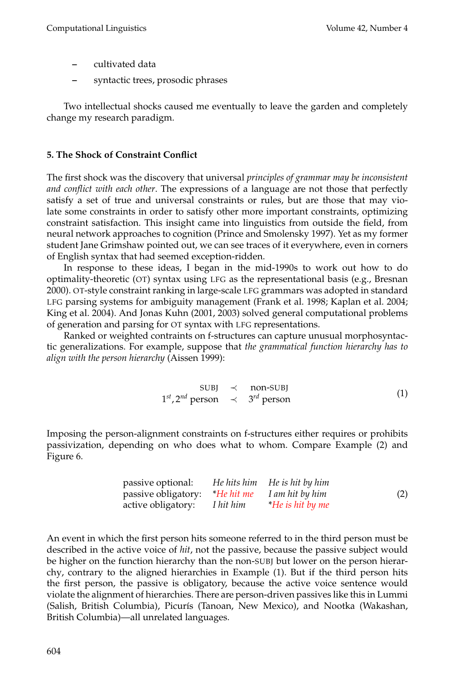- **–** cultivated data
- **–** syntactic trees, prosodic phrases

Two intellectual shocks caused me eventually to leave the garden and completely change my research paradigm.

### **5. The Shock of Constraint Conflict**

The first shock was the discovery that universal *principles of grammar may be inconsistent and conflict with each other*. The expressions of a language are not those that perfectly satisfy a set of true and universal constraints or rules, but are those that may violate some constraints in order to satisfy other more important constraints, optimizing constraint satisfaction. This insight came into linguistics from outside the field, from neural network approaches to cognition (Prince and Smolensky 1997). Yet as my former student Jane Grimshaw pointed out, we can see traces of it everywhere, even in corners of English syntax that had seemed exception-ridden.

In response to these ideas, I began in the mid-1990s to work out how to do optimality-theoretic (OT) syntax using LFG as the representational basis (e.g., Bresnan 2000). OT-style constraint ranking in large-scale LFG grammars was adopted in standard LFG parsing systems for ambiguity management (Frank et al. 1998; Kaplan et al. 2004; King et al. 2004). And Jonas Kuhn (2001, 2003) solved general computational problems of generation and parsing for OT syntax with LFG representations.

Ranked or weighted contraints on f-structures can capture unusual morphosyntactic generalizations. For example, suppose that *the grammatical function hierarchy has to align with the person hierarchy* (Aissen 1999):

$$
SUBJ \prec non-SUBJ\n1st, 2nd person \prec 3rd person
$$
\n(1)

Imposing the person-alignment constraints on f-structures either requires or prohibits passivization, depending on who does what to whom. Compare Example (2) and Figure 6.

| passive optional:                              | He hits him He is hit by him |     |
|------------------------------------------------|------------------------------|-----|
| passive obligatory: *He hit me I am hit by him |                              | (2) |
| active obligatory: I hit him                   | <i>He is hit by me</i>       |     |

An event in which the first person hits someone referred to in the third person must be described in the active voice of *hit*, not the passive, because the passive subject would be higher on the function hierarchy than the non-SUBJ but lower on the person hierarchy, contrary to the aligned hierarchies in Example (1). But if the third person hits the first person, the passive is obligatory, because the active voice sentence would violate the alignment of hierarchies. There are person-driven passives like this in Lummi (Salish, British Columbia), Picurís (Tanoan, New Mexico), and Nootka (Wakashan, British Columbia)—all unrelated languages.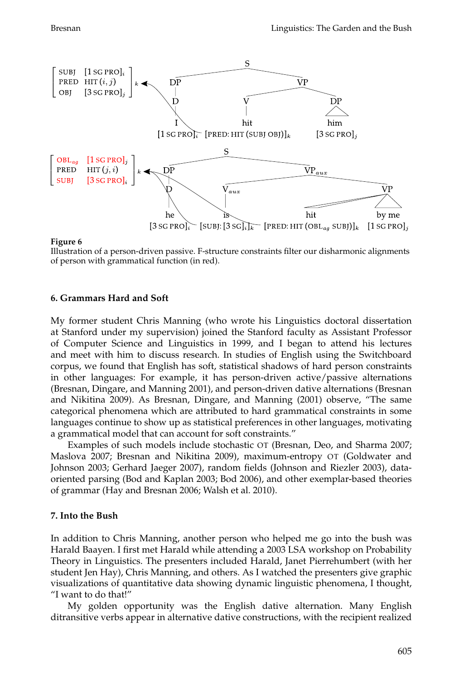

Illustration of a person-driven passive. F-structure constraints filter our disharmonic alignments of person with grammatical function (in red).

#### **6. Grammars Hard and Soft**

My former student Chris Manning (who wrote his Linguistics doctoral dissertation at Stanford under my supervision) joined the Stanford faculty as Assistant Professor of Computer Science and Linguistics in 1999, and I began to attend his lectures and meet with him to discuss research. In studies of English using the Switchboard corpus, we found that English has soft, statistical shadows of hard person constraints in other languages: For example, it has person-driven active/passive alternations (Bresnan, Dingare, and Manning 2001), and person-driven dative alternations (Bresnan and Nikitina 2009). As Bresnan, Dingare, and Manning (2001) observe, "The same categorical phenomena which are attributed to hard grammatical constraints in some languages continue to show up as statistical preferences in other languages, motivating a grammatical model that can account for soft constraints."

Examples of such models include stochastic OT (Bresnan, Deo, and Sharma 2007; Maslova 2007; Bresnan and Nikitina 2009), maximum-entropy OT (Goldwater and Johnson 2003; Gerhard Jaeger 2007), random fields (Johnson and Riezler 2003), dataoriented parsing (Bod and Kaplan 2003; Bod 2006), and other exemplar-based theories of grammar (Hay and Bresnan 2006; Walsh et al. 2010).

#### **7. Into the Bush**

In addition to Chris Manning, another person who helped me go into the bush was Harald Baayen. I first met Harald while attending a 2003 LSA workshop on Probability Theory in Linguistics. The presenters included Harald, Janet Pierrehumbert (with her student Jen Hay), Chris Manning, and others. As I watched the presenters give graphic visualizations of quantitative data showing dynamic linguistic phenomena, I thought, "I want to do that!"

My golden opportunity was the English dative alternation. Many English ditransitive verbs appear in alternative dative constructions, with the recipient realized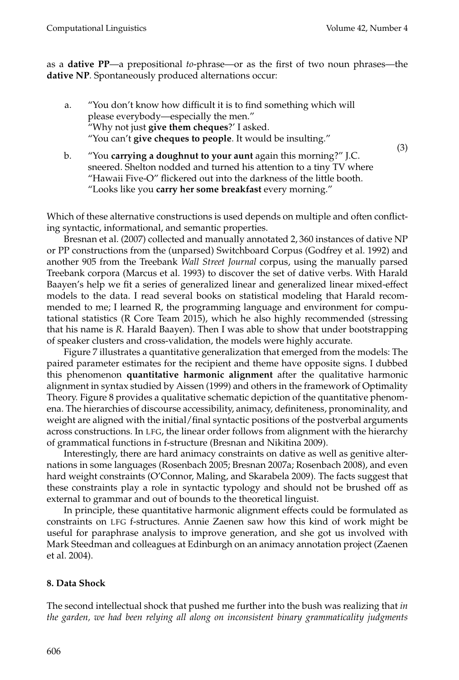(3)

as a **dative PP**—a prepositional *to*-phrase—or as the first of two noun phrases—the **dative NP**. Spontaneously produced alternations occur:

- a. "You don't know how difficult it is to find something which will please everybody—especially the men." "Why not just **give them cheques**?' I asked. "You can't **give cheques to people**. It would be insulting."
- b. "You **carrying a doughnut to your aunt** again this morning?" J.C. sneered. Shelton nodded and turned his attention to a tiny TV where "Hawaii Five-O" flickered out into the darkness of the little booth. "Looks like you **carry her some breakfast** every morning."

Which of these alternative constructions is used depends on multiple and often conflicting syntactic, informational, and semantic properties.

Bresnan et al. (2007) collected and manually annotated 2, 360 instances of dative NP or PP constructions from the (unparsed) Switchboard Corpus (Godfrey et al. 1992) and another 905 from the Treebank *Wall Street Journal* corpus, using the manually parsed Treebank corpora (Marcus et al. 1993) to discover the set of dative verbs. With Harald Baayen's help we fit a series of generalized linear and generalized linear mixed-effect models to the data. I read several books on statistical modeling that Harald recommended to me; I learned R, the programming language and environment for computational statistics (R Core Team 2015), which he also highly recommended (stressing that his name is *R.* Harald Baayen). Then I was able to show that under bootstrapping of speaker clusters and cross-validation, the models were highly accurate.

Figure 7 illustrates a quantitative generalization that emerged from the models: The paired parameter estimates for the recipient and theme have opposite signs. I dubbed this phenomenon **quantitative harmonic alignment** after the qualitative harmonic alignment in syntax studied by Aissen (1999) and others in the framework of Optimality Theory. Figure 8 provides a qualitative schematic depiction of the quantitative phenomena. The hierarchies of discourse accessibility, animacy, definiteness, pronominality, and weight are aligned with the initial/final syntactic positions of the postverbal arguments across constructions. In LFG, the linear order follows from alignment with the hierarchy of grammatical functions in f-structure (Bresnan and Nikitina 2009).

Interestingly, there are hard animacy constraints on dative as well as genitive alternations in some languages (Rosenbach 2005; Bresnan 2007a; Rosenbach 2008), and even hard weight constraints (O'Connor, Maling, and Skarabela 2009). The facts suggest that these constraints play a role in syntactic typology and should not be brushed off as external to grammar and out of bounds to the theoretical linguist.

In principle, these quantitative harmonic alignment effects could be formulated as constraints on LFG f-structures. Annie Zaenen saw how this kind of work might be useful for paraphrase analysis to improve generation, and she got us involved with Mark Steedman and colleagues at Edinburgh on an animacy annotation project (Zaenen et al. 2004).

## **8. Data Shock**

The second intellectual shock that pushed me further into the bush was realizing that *in the garden, we had been relying all along on inconsistent binary grammaticality judgments*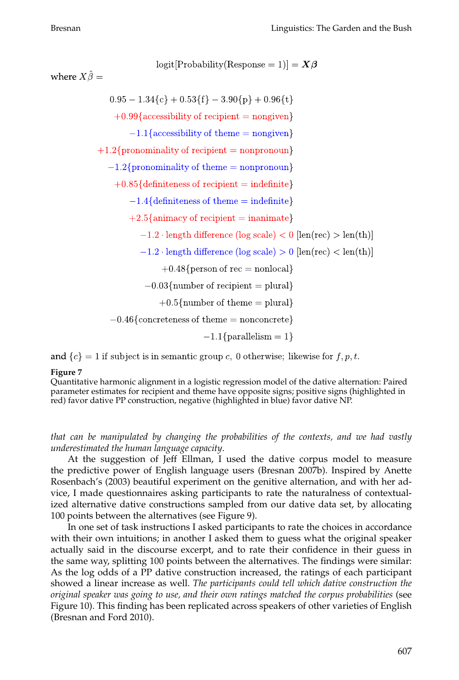$logit[Probability(Response = 1)] = X\beta$ 

where  $X\hat{\beta} =$ 

$$
0.95-1.34\{c\}+0.53\{f\}-3.90\{p\}+0.96\{t\}
$$

 $+0.99$ {accessibility of recipient = nongiven}

 $-1.1$ {accessibility of theme = nongiven}

 $+1.2\{pronominality of recipient = nonpronom\}$ 

 $-1.2\{pronominality of theme = nonpronom\}$ 

 $+0.85$ {definiteness of recipient = indefinite}

 $-1.4$ {definiteness of theme = indefinite}

 $+2.5\{$ animacy of recipient = inanimate}

 $-1.2 \cdot \text{length difference (log scale)} < 0$ [len(rec) > len(th)]

$$
-1.2 \cdot
$$
length difference (log scale)  $> 0$  [len(rec)  $< len(th)$ ]

 $+0.48$ {person of rec = nonlocal}

 $-0.03$ {number of recipient = plural}

 $+0.5$ {number of theme = plural}

 $-0.46$ {concreteness of theme = nonconcrete}

 $-1.1$ {parallelism = 1}

and  $\{c\} = 1$  if subject is in semantic group c, 0 otherwise; likewise for f, p, t.

#### **Figure 7**

Quantitative harmonic alignment in a logistic regression model of the dative alternation: Paired parameter estimates for recipient and theme have opposite signs; positive signs (highlighted in red) favor dative PP construction, negative (highlighted in blue) favor dative NP.

*that can be manipulated by changing the probabilities of the contexts, and we had vastly underestimated the human language capacity*.

At the suggestion of Jeff Ellman, I used the dative corpus model to measure the predictive power of English language users (Bresnan 2007b). Inspired by Anette Rosenbach's (2003) beautiful experiment on the genitive alternation, and with her advice, I made questionnaires asking participants to rate the naturalness of contextualized alternative dative constructions sampled from our dative data set, by allocating 100 points between the alternatives (see Figure 9).

In one set of task instructions I asked participants to rate the choices in accordance with their own intuitions; in another I asked them to guess what the original speaker actually said in the discourse excerpt, and to rate their confidence in their guess in the same way, splitting 100 points between the alternatives. The findings were similar: As the log odds of a PP dative construction increased, the ratings of each participant showed a linear increase as well. *The participants could tell which dative construction the original speaker was going to use, and their own ratings matched the corpus probabilities* (see Figure 10). This finding has been replicated across speakers of other varieties of English (Bresnan and Ford 2010).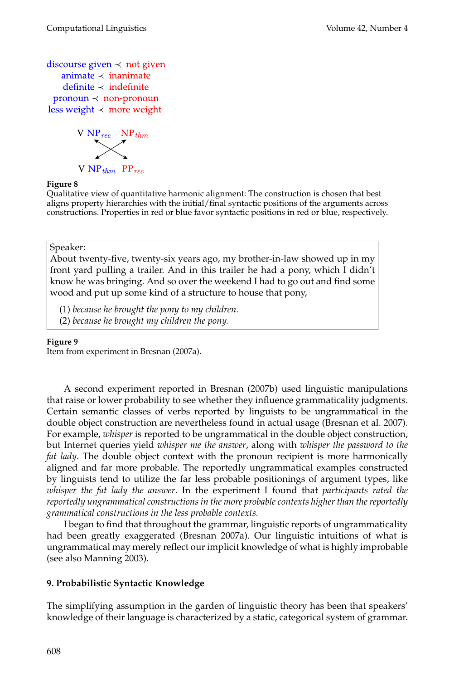```
discourse given \prec not given
  animate \prec inanimate
   definite \prec indefinite
pronoun \prec non-pronounless weight \prec more weight
```
![](_page_9_Picture_3.jpeg)

Qualitative view of quantitative harmonic alignment: The construction is chosen that best aligns property hierarchies with the initial/final syntactic positions of the arguments across constructions. Properties in red or blue favor syntactic positions in red or blue, respectively.

Speaker:

About twenty-five, twenty-six years ago, my brother-in-law showed up in my front yard pulling a trailer. And in this trailer he had a pony, which I didn't know he was bringing. And so over the weekend I had to go out and find some wood and put up some kind of a structure to house that pony,

- (1) *because he brought the pony to my children.*
- (2) *because he brought my children the pony.*

### **Figure 9**

Item from experiment in Bresnan (2007a).

A second experiment reported in Bresnan (2007b) used linguistic manipulations that raise or lower probability to see whether they influence grammaticality judgments. Certain semantic classes of verbs reported by linguists to be ungrammatical in the double object construction are nevertheless found in actual usage (Bresnan et al. 2007). For example, *whisper* is reported to be ungrammatical in the double object construction, but Internet queries yield *whisper me the answer*, along with *whisper the password to the fat lady*. The double object context with the pronoun recipient is more harmonically aligned and far more probable. The reportedly ungrammatical examples constructed by linguists tend to utilize the far less probable positionings of argument types, like *whisper the fat lady the answer*. In the experiment I found that *participants rated the reportedly ungrammatical constructions in the more probable contexts higher than the reportedly grammatical constructions in the less probable contexts.*

I began to find that throughout the grammar, linguistic reports of ungrammaticality had been greatly exaggerated (Bresnan 2007a). Our linguistic intuitions of what is ungrammatical may merely reflect our implicit knowledge of what is highly improbable (see also Manning 2003).

## **9. Probabilistic Syntactic Knowledge**

The simplifying assumption in the garden of linguistic theory has been that speakers' knowledge of their language is characterized by a static, categorical system of grammar.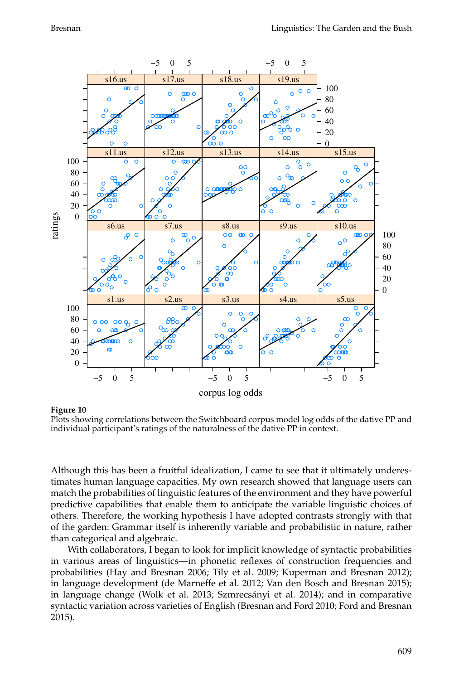![](_page_10_Figure_2.jpeg)

Plots showing correlations between the Switchboard corpus model log odds of the dative PP and individual participant's ratings of the naturalness of the dative PP in context.

Although this has been a fruitful idealization, I came to see that it ultimately underestimates human language capacities. My own research showed that language users can match the probabilities of linguistic features of the environment and they have powerful predictive capabilities that enable them to anticipate the variable linguistic choices of others. Therefore, the working hypothesis I have adopted contrasts strongly with that of the garden: Grammar itself is inherently variable and probabilistic in nature, rather than categorical and algebraic.

With collaborators, I began to look for implicit knowledge of syntactic probabilities in various areas of linguistics—in phonetic reflexes of construction frequencies and probabilities (Hay and Bresnan 2006; Tily et al. 2009; Kuperman and Bresnan 2012); in language development (de Marneffe et al. 2012; Van den Bosch and Bresnan 2015); in language change (Wolk et al. 2013; Szmrecsanyi et al. 2014); and in comparative ´ syntactic variation across varieties of English (Bresnan and Ford 2010; Ford and Bresnan 2015).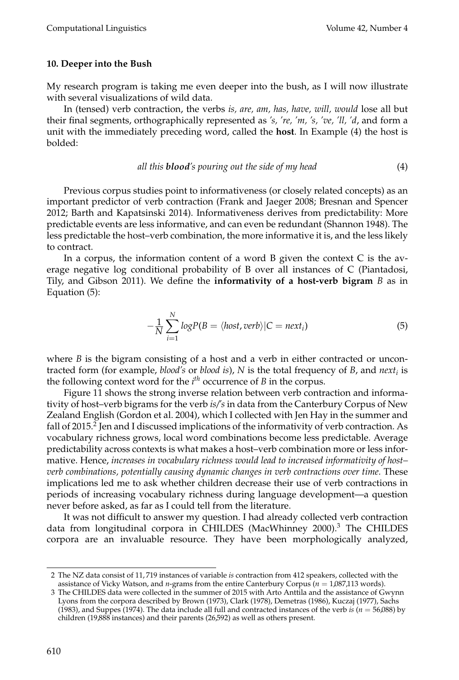### **10. Deeper into the Bush**

My research program is taking me even deeper into the bush, as I will now illustrate with several visualizations of wild data.

In (tensed) verb contraction, the verbs *is, are, am, has, have, will, would* lose all but their final segments, orthographically represented as *'s, 're, 'm, 's, 've, 'll, 'd*, and form a unit with the immediately preceding word, called the **host**. In Example (4) the host is bolded:

*all this blood's pouring out the side of my head* (4)

Previous corpus studies point to informativeness (or closely related concepts) as an important predictor of verb contraction (Frank and Jaeger 2008; Bresnan and Spencer 2012; Barth and Kapatsinski 2014). Informativeness derives from predictability: More predictable events are less informative, and can even be redundant (Shannon 1948). The less predictable the host–verb combination, the more informative it is, and the less likely to contract.

In a corpus, the information content of a word B given the context C is the average negative log conditional probability of B over all instances of C (Piantadosi, Tily, and Gibson 2011). We define the **informativity of a host-verb bigram** *B* as in Equation (5):

$$
-\frac{1}{N}\sum_{i=1}^{N}\log P(B=\langle host, verb\rangle|C=next_i)
$$
\n(5)

where *B* is the bigram consisting of a host and a verb in either contracted or uncontracted form (for example, *blood's* or *blood is*), *N* is the total frequency of *B*, and *next<sup>i</sup>* is the following context word for the *i th* occurrence of *B* in the corpus.

Figure 11 shows the strong inverse relation between verb contraction and informativity of host–verb bigrams for the verb *is/'s* in data from the Canterbury Corpus of New Zealand English (Gordon et al. 2004), which I collected with Jen Hay in the summer and fall of 2015. $^2$  Jen and I discussed implications of the informativity of verb contraction. As vocabulary richness grows, local word combinations become less predictable. Average predictability across contexts is what makes a host–verb combination more or less informative. Hence, *increases in vocabulary richness would lead to increased informativity of host– verb combinations, potentially causing dynamic changes in verb contractions over time.* These implications led me to ask whether children decrease their use of verb contractions in periods of increasing vocabulary richness during language development—a question never before asked, as far as I could tell from the literature.

It was not difficult to answer my question. I had already collected verb contraction data from longitudinal corpora in CHILDES (MacWhinney 2000).<sup>3</sup> The CHILDES corpora are an invaluable resource. They have been morphologically analyzed,

<sup>2</sup> The NZ data consist of 11, 719 instances of variable *is* contraction from 412 speakers, collected with the assistance of Vicky Watson, and *n*-grams from the entire Canterbury Corpus (*n* = 1,087,113 words).

<sup>3</sup> The CHILDES data were collected in the summer of 2015 with Arto Anttila and the assistance of Gwynn Lyons from the corpora described by Brown (1973), Clark (1978), Demetras (1986), Kuczaj (1977), Sachs (1983), and Suppes (1974). The data include all full and contracted instances of the verb *is* ( $n = 56,088$ ) by children (19,888 instances) and their parents (26,592) as well as others present.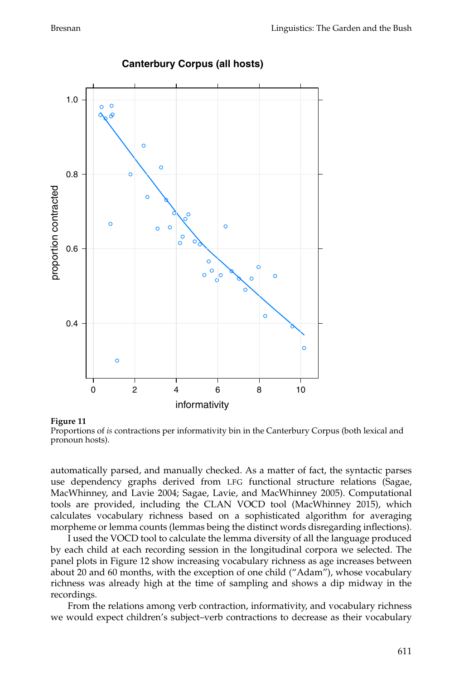![](_page_12_Figure_2.jpeg)

# **Canterbury Corpus (all hosts)**

#### **Figure 11**

![](_page_12_Figure_5.jpeg)

automatically parsed, and manually checked. As a matter of fact, the syntactic parses use dependency graphs derived from LFG functional structure relations (Sagae, MacWhinney, and Lavie 2004; Sagae, Lavie, and MacWhinney 2005). Computational tools are provided, including the CLAN VOCD tool (MacWhinney 2015), which calculates vocabulary richness based on a sophisticated algorithm for averaging morpheme or lemma counts (lemmas being the distinct words disregarding inflections).

I used the VOCD tool to calculate the lemma diversity of all the language produced by each child at each recording session in the longitudinal corpora we selected. The panel plots in Figure 12 show increasing vocabulary richness as age increases between about 20 and 60 months, with the exception of one child ("Adam"), whose vocabulary richness was already high at the time of sampling and shows a dip midway in the recordings.

From the relations among verb contraction, informativity, and vocabulary richness we would expect children's subject–verb contractions to decrease as their vocabulary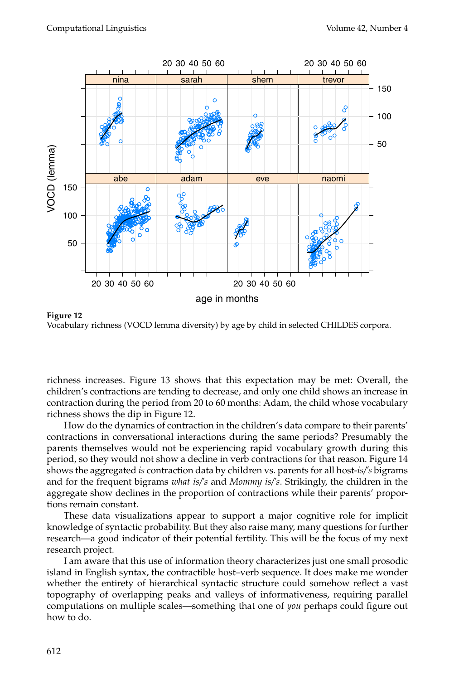![](_page_13_Figure_2.jpeg)

**Figure 12** Vocabulary richness (VOCD lemma diversity) by age by child in selected CHILDES corpora.

richness increases. Figure 13 shows that this expectation may be met: Overall, the children's contractions are tending to decrease, and only one child shows an increase in contraction during the period from 20 to 60 months: Adam, the child whose vocabulary richness shows the dip in Figure 12.

How do the dynamics of contraction in the children's data compare to their parents' contractions in conversational interactions during the same periods? Presumably the parents themselves would not be experiencing rapid vocabulary growth during this period, so they would not show a decline in verb contractions for that reason. Figure 14 shows the aggregated *is* contraction data by children vs. parents for all host-*is/'s* bigrams and for the frequent bigrams *what is/'s* and *Mommy is/'s*. Strikingly, the children in the aggregate show declines in the proportion of contractions while their parents' proportions remain constant.

These data visualizations appear to support a major cognitive role for implicit knowledge of syntactic probability. But they also raise many, many questions for further research—a good indicator of their potential fertility. This will be the focus of my next research project.

I am aware that this use of information theory characterizes just one small prosodic island in English syntax, the contractible host–verb sequence. It does make me wonder whether the entirety of hierarchical syntactic structure could somehow reflect a vast topography of overlapping peaks and valleys of informativeness, requiring parallel computations on multiple scales—something that one of *you* perhaps could figure out how to do.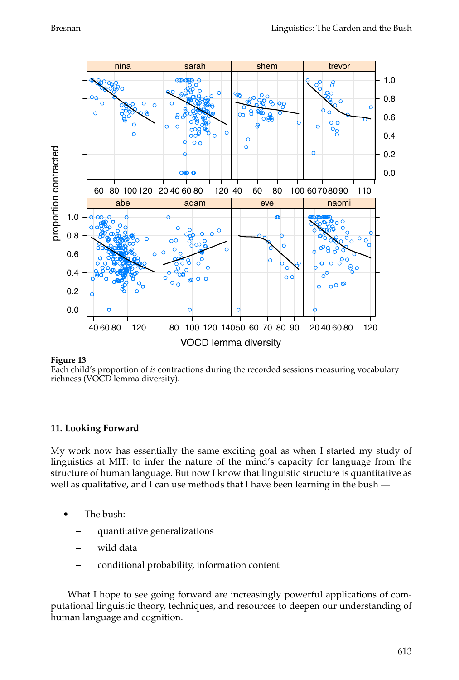![](_page_14_Figure_2.jpeg)

Each child's proportion of *is* contractions during the recorded sessions measuring vocabulary richness (VOCD lemma diversity).

### **11. Looking Forward**

My work now has essentially the same exciting goal as when I started my study of linguistics at MIT: to infer the nature of the mind's capacity for language from the structure of human language. But now I know that linguistic structure is quantitative as well as qualitative, and I can use methods that I have been learning in the bush —

- The bush:
	- **–** quantitative generalizations
	- **–** wild data
	- **–** conditional probability, information content

What I hope to see going forward are increasingly powerful applications of computational linguistic theory, techniques, and resources to deepen our understanding of human language and cognition.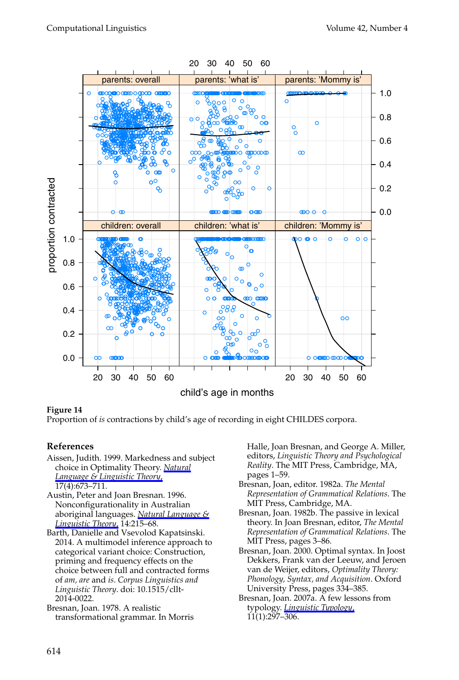![](_page_15_Figure_2.jpeg)

Proportion of *is* contractions by child's age of recording in eight CHILDES corpora.

## **References**

- Aissen, Judith. 1999. Markedness and subject choice in Optimality Theory. *[Natural](http://www.mitpressjournals.org/action/showLinks?crossref=10.1023%2FA%3A1006335629372) [Language & Linguistic Theory](http://www.mitpressjournals.org/action/showLinks?crossref=10.1023%2FA%3A1006335629372)*, 17(4):673–711.
- Austin, Peter and Joan Bresnan. 1996. Nonconfigurationality in Australian aboriginal languages. *[Natural Language &](http://www.mitpressjournals.org/action/showLinks?crossref=10.1007%2FBF00133684) [Linguistic Theory](http://www.mitpressjournals.org/action/showLinks?crossref=10.1007%2FBF00133684)*, 14:215–68.
- Barth, Danielle and Vsevolod Kapatsinski. 2014. A multimodel inference approach to categorical variant choice: Construction, priming and frequency effects on the choice between full and contracted forms of *am, are* and *is*. *Corpus Linguistics and Linguistic Theory*. doi: 10.1515/cllt-2014-0022.

Bresnan, Joan. 1978. A realistic transformational grammar. In Morris Halle, Joan Bresnan, and George A. Miller, editors, *Linguistic Theory and Psychological Reality*. The MIT Press, Cambridge, MA, pages 1–59.

- Bresnan, Joan, editor. 1982a. *The Mental Representation of Grammatical Relations*. The MIT Press, Cambridge, MA.
- Bresnan, Joan. 1982b. The passive in lexical theory. In Joan Bresnan, editor, *The Mental Representation of Grammatical Relations*. The MIT Press, pages 3–86.
- Bresnan, Joan. 2000. Optimal syntax. In Joost Dekkers, Frank van der Leeuw, and Jeroen van de Weijer, editors, *Optimality Theory: Phonology, Syntax, and Acquisition*. Oxford University Press, pages 334–385.
- Bresnan, Joan. 2007a. A few lessons from typology. *[Linguistic Typology](http://www.mitpressjournals.org/action/showLinks?crossref=10.1515%2FLINGTY.2007.024)*,  $11(1):297 - 306.$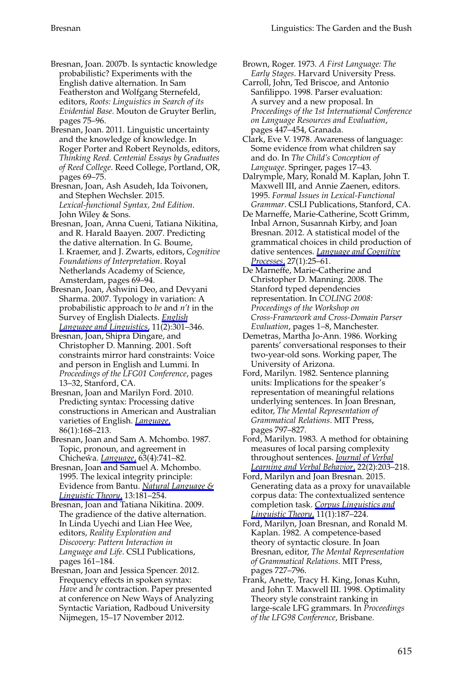- Bresnan, Joan. 2007b. Is syntactic knowledge probabilistic? Experiments with the English dative alternation. In Sam Featherston and Wolfgang Sternefeld, editors, *Roots: Linguistics in Search of its Evidential Base*. Mouton de Gruyter Berlin, pages 75–96.
- Bresnan, Joan. 2011. Linguistic uncertainty and the knowledge of knowledge. In Roger Porter and Robert Reynolds, editors, *Thinking Reed. Centenial Essays by Graduates of Reed College*. Reed College, Portland, OR, pages 69–75.

Bresnan, Joan, Ash Asudeh, Ida Toivonen, and Stephen Wechsler. 2015. *Lexical-functional Syntax, 2nd Edition*. John Wiley & Sons.

- Bresnan, Joan, Anna Cueni, Tatiana Nikitina, and R. Harald Baayen. 2007. Predicting the dative alternation. In G. Boume, I. Kraemer, and J. Zwarts, editors, *Cognitive Foundations of Interpretation*. Royal Netherlands Academy of Science, Amsterdam, pages 69–94.
- Bresnan, Joan, Ashwini Deo, and Devyani Sharma. 2007. Typology in variation: A probabilistic approach to *be* and *n't* in the Survey of English Dialects. *[English](http://www.mitpressjournals.org/action/showLinks?crossref=10.1017%2FS1360674307002274) [Language and Linguistics](http://www.mitpressjournals.org/action/showLinks?crossref=10.1017%2FS1360674307002274)*, 11(2):301–346.
- Bresnan, Joan, Shipra Dingare, and Christopher D. Manning. 2001. Soft constraints mirror hard constraints: Voice and person in English and Lummi. In *Proceedings of the LFG01 Conference*, pages 13–32, Stanford, CA.
- Bresnan, Joan and Marilyn Ford. 2010. Predicting syntax: Processing dative constructions in American and Australian varieties of English. *[Language](http://www.mitpressjournals.org/action/showLinks?crossref=10.1353%2Flan.0.0189)*, 86(1):168–213.
- Bresnan, Joan and Sam A. Mchombo. 1987. Topic, pronoun, and agreement in Chichewa. *[Language](http://www.mitpressjournals.org/action/showLinks?crossref=10.2307%2F415717)*, 63(4):741-82.
- Bresnan, Joan and Samuel A. Mchombo. 1995. The lexical integrity principle: Evidence from Bantu. *[Natural Language &](http://www.mitpressjournals.org/action/showLinks?crossref=10.1007%2FBF00992782) [Linguistic Theory](http://www.mitpressjournals.org/action/showLinks?crossref=10.1007%2FBF00992782)*, 13:181–254.
- Bresnan, Joan and Tatiana Nikitina. 2009. The gradience of the dative alternation. In Linda Uyechi and Lian Hee Wee, editors, *Reality Exploration and Discovery: Pattern Interaction in Language and Life*. CSLI Publications, pages 161–184.
- Bresnan, Joan and Jessica Spencer. 2012. Frequency effects in spoken syntax: *Have* and *be* contraction. Paper presented at conference on New Ways of Analyzing Syntactic Variation, Radboud University Nijmegen, 15–17 November 2012.
- Brown, Roger. 1973. *A First Language: The Early Stages*. Harvard University Press.
- Carroll, John, Ted Briscoe, and Antonio Sanfilippo. 1998. Parser evaluation: A survey and a new proposal. In *Proceedings of the 1st International Conference on Language Resources and Evaluation*, pages 447–454, Granada.
- Clark, Eve V. 1978. Awareness of language: Some evidence from what children say and do. In *The Child's Conception of Language*. Springer, pages 17–43.
- Dalrymple, Mary, Ronald M. Kaplan, John T. Maxwell III, and Annie Zaenen, editors. 1995. *Formal Issues in Lexical-Functional Grammar*. CSLI Publications, Stanford, CA.
- De Marneffe, Marie-Catherine, Scott Grimm, Inbal Arnon, Susannah Kirby, and Joan Bresnan. 2012. A statistical model of the grammatical choices in child production of dative sentences. *[Language and Cognitive](http://www.mitpressjournals.org/action/showLinks?crossref=10.1080%2F01690965.2010.542651) [Processes](http://www.mitpressjournals.org/action/showLinks?crossref=10.1080%2F01690965.2010.542651)*, 27(1):25–61.
- De Marneffe, Marie-Catherine and Christopher D. Manning. 2008. The Stanford typed dependencies representation. In *COLING 2008: Proceedings of the Workshop on Cross-Framework and Cross-Domain Parser Evaluation*, pages 1–8, Manchester.
- Demetras, Martha Jo-Ann. 1986. Working parents' conversational responses to their two-year-old sons. Working paper, The University of Arizona.
- Ford, Marilyn. 1982. Sentence planning units: Implications for the speaker's representation of meaningful relations underlying sentences. In Joan Bresnan, editor, *The Mental Representation of Grammatical Relations*. MIT Press, pages 797–827.
- Ford, Marilyn. 1983. A method for obtaining measures of local parsing complexity throughout sentences. *[Journal of Verbal](http://www.mitpressjournals.org/action/showLinks?crossref=10.1016%2FS0022-5371%2883%2990156-1) [Learning and Verbal Behavior](http://www.mitpressjournals.org/action/showLinks?crossref=10.1016%2FS0022-5371%2883%2990156-1)*, 22(2):203–218.
- Ford, Marilyn and Joan Bresnan. 2015. Generating data as a proxy for unavailable corpus data: The contextualized sentence completion task. *[Corpus Linguistics and](http://www.mitpressjournals.org/action/showLinks?crossref=10.1515%2Fcllt-2015-0018) [Linguistic Theory](http://www.mitpressjournals.org/action/showLinks?crossref=10.1515%2Fcllt-2015-0018)*, 11(1):187–224.
- Ford, Marilyn, Joan Bresnan, and Ronald M. Kaplan. 1982. A competence-based theory of syntactic closure. In Joan Bresnan, editor, *The Mental Representation of Grammatical Relations*. MIT Press, pages 727–796.
- Frank, Anette, Tracy H. King, Jonas Kuhn, and John T. Maxwell III. 1998. Optimality Theory style constraint ranking in large-scale LFG grammars. In *Proceedings of the LFG98 Conference*, Brisbane.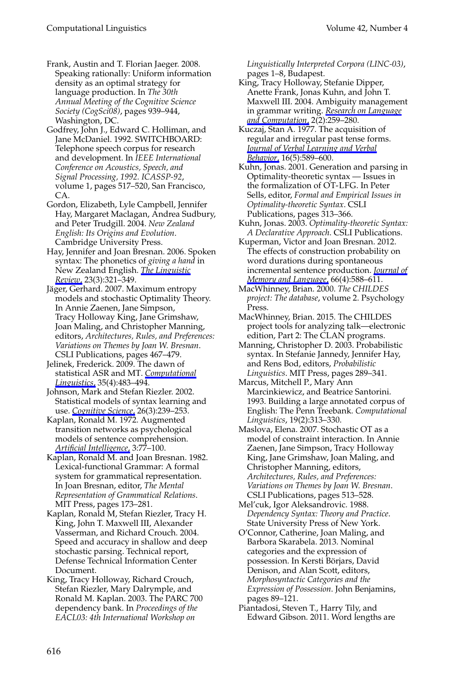Frank, Austin and T. Florian Jaeger. 2008. Speaking rationally: Uniform information density as an optimal strategy for language production. In *The 30th Annual Meeting of the Cognitive Science Society (CogSci08)*, pages 939–944, Washington, DC.

Godfrey, John J., Edward C. Holliman, and Jane McDaniel. 1992. SWITCHBOARD: Telephone speech corpus for research and development. In *IEEE International Conference on Acoustics, Speech, and Signal Processing, 1992. ICASSP-92*, volume 1, pages 517–520, San Francisco, CA.

Gordon, Elizabeth, Lyle Campbell, Jennifer Hay, Margaret Maclagan, Andrea Sudbury, and Peter Trudgill. 2004. *New Zealand English: Its Origins and Evolution*. Cambridge University Press.

Hay, Jennifer and Joan Bresnan. 2006. Spoken syntax: The phonetics of *giving a hand* in New Zealand English. *[The Linguistic](http://www.mitpressjournals.org/action/showLinks?crossref=10.1515%2FTLR.2006.013) [Review](http://www.mitpressjournals.org/action/showLinks?crossref=10.1515%2FTLR.2006.013)*, 23(3):321–349.

Jäger, Gerhard. 2007. Maximum entropy models and stochastic Optimality Theory. In Annie Zaenen, Jane Simpson, Tracy Holloway King, Jane Grimshaw, Joan Maling, and Christopher Manning, editors, *Architectures, Rules, and Preferences: Variations on Themes by Joan W. Bresnan*. CSLI Publications, pages 467–479.

Jelinek, Frederick. 2009. The dawn of statistical ASR and MT. *[Computational](http://www.mitpressjournals.org/action/showLinks?system=10.1162%2Fcoli.2009.35.4.35401) [Linguistics](http://www.mitpressjournals.org/action/showLinks?system=10.1162%2Fcoli.2009.35.4.35401)*, 35(4):483–494.

Johnson, Mark and Stefan Riezler. 2002. Statistical models of syntax learning and use. *[Cognitive Science](http://www.mitpressjournals.org/action/showLinks?crossref=10.1207%2Fs15516709cog2603_2)*, 26(3):239–253.

Kaplan, Ronald M. 1972. Augmented transition networks as psychological models of sentence comprehension. *[Artificial Intelligence](http://www.mitpressjournals.org/action/showLinks?crossref=10.1016%2F0004-3702%2872%2990043-4)*, 3:77–100.

Kaplan, Ronald M. and Joan Bresnan. 1982. Lexical-functional Grammar: A formal system for grammatical representation. In Joan Bresnan, editor, *The Mental Representation of Grammatical Relations*. MIT Press, pages 173–281.

Kaplan, Ronald M, Stefan Riezler, Tracy H. King, John T. Maxwell III, Alexander Vasserman, and Richard Crouch. 2004. Speed and accuracy in shallow and deep stochastic parsing. Technical report, Defense Technical Information Center Document.

King, Tracy Holloway, Richard Crouch, Stefan Riezler, Mary Dalrymple, and Ronald M. Kaplan. 2003. The PARC 700 dependency bank. In *Proceedings of the EACL03: 4th International Workshop on*

*Linguistically Interpreted Corpora (LINC-03)*, pages 1–8, Budapest.

King, Tracy Holloway, Stefanie Dipper, Anette Frank, Jonas Kuhn, and John T. Maxwell III. 2004. Ambiguity management in grammar writing. *[Research on Language](http://www.mitpressjournals.org/action/showLinks?crossref=10.1023%2FB%3AROLC.0000016784.26446.98) [and Computation](http://www.mitpressjournals.org/action/showLinks?crossref=10.1023%2FB%3AROLC.0000016784.26446.98)*, 2(2):259–280.

Kuczaj, Stan A. 1977. The acquisition of regular and irregular past tense forms. *[Journal of Verbal Learning and Verbal](http://www.mitpressjournals.org/action/showLinks?crossref=10.1016%2FS0022-5371%2877%2980021-2) [Behavior](http://www.mitpressjournals.org/action/showLinks?crossref=10.1016%2FS0022-5371%2877%2980021-2)*, 16(5):589–600.

Kuhn, Jonas. 2001. Generation and parsing in Optimality-theoretic syntax — Issues in the formalization of OT-LFG. In Peter Sells, editor, *Formal and Empirical Issues in Optimality-theoretic Syntax*. CSLI Publications, pages 313–366.

Kuhn, Jonas. 2003. *Optimality-theoretic Syntax: A Declarative Approach*. CSLI Publications.

Kuperman, Victor and Joan Bresnan. 2012. The effects of construction probability on word durations during spontaneous incremental sentence production. *[Journal of](http://www.mitpressjournals.org/action/showLinks?crossref=10.1016%2Fj.jml.2012.04.003) [Memory and Language](http://www.mitpressjournals.org/action/showLinks?crossref=10.1016%2Fj.jml.2012.04.003)*, 66(4):588–611.

MacWhinney, Brian. 2000. *The CHILDES project: The database*, volume 2. Psychology Press.

MacWhinney, Brian. 2015. The CHILDES project tools for analyzing talk—electronic edition, Part 2: The CLAN programs.

Manning, Christopher D. 2003. Probabilistic syntax. In Stefanie Jannedy, Jennifer Hay, and Rens Bod, editors, *Probabilistic Linguistics*. MIT Press, pages 289–341.

Marcus, Mitchell P., Mary Ann Marcinkiewicz, and Beatrice Santorini. 1993. Building a large annotated corpus of English: The Penn Treebank. *Computational Linguistics*, 19(2):313–330.

Maslova, Elena. 2007. Stochastic OT as a model of constraint interaction. In Annie Zaenen, Jane Simpson, Tracy Holloway King, Jane Grimshaw, Joan Maling, and Christopher Manning, editors, *Architectures, Rules, and Preferences: Variations on Themes by Joan W. Bresnan*. CSLI Publications, pages 513–528.

Mel'cuk, Igor Aleksandrovic. 1988. *Dependency Syntax: Theory and Practice*. State University Press of New York.

O'Connor, Catherine, Joan Maling, and Barbora Skarabela. 2013. Nominal categories and the expression of possession. In Kersti Börjars, David Denison, and Alan Scott, editors, *Morphosyntactic Categories and the Expression of Possession*. John Benjamins, pages 89–121.

Piantadosi, Steven T., Harry Tily, and Edward Gibson. 2011. Word lengths are